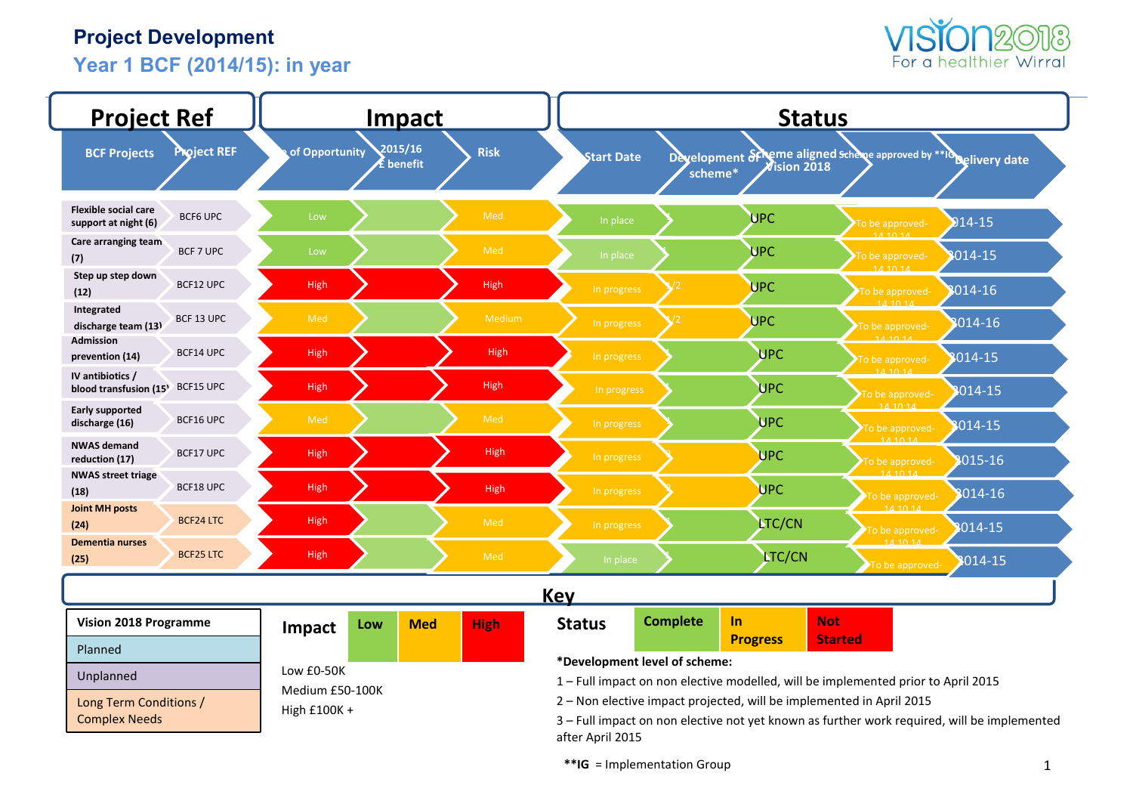## **Project Development**

**Year 1 BCF (2014/15): in year** 



| <b>Project Ref</b>                                     |                    |                | <u>Impact</u>        |             |                                                                                                                  | <b>Status</b>                                                        |                              |                                      |                                                                                             |  |  |  |
|--------------------------------------------------------|--------------------|----------------|----------------------|-------------|------------------------------------------------------------------------------------------------------------------|----------------------------------------------------------------------|------------------------------|--------------------------------------|---------------------------------------------------------------------------------------------|--|--|--|
| <b>BCF Projects</b>                                    | <b>Project REF</b> | of Opportunity | 2015/16<br>É benefit | <b>Risk</b> | <b>Start Date</b>                                                                                                | scheme*                                                              | Development of<br>ision 2018 |                                      | eme aligned schene approved by **Id pelivery date                                           |  |  |  |
| <b>Flexible social care</b><br>support at night (6)    | <b>BCF6 UPC</b>    | Low            |                      | Med         | In place                                                                                                         |                                                                      | <b>UPC</b>                   | To be approved-                      | $214 - 15$                                                                                  |  |  |  |
| Care arranging team<br>(7)                             | BCF 7 UPC          | Low            |                      | Med         | In place                                                                                                         |                                                                      | <b>UPC</b>                   | 111101<br>To be approved-<br>14.1011 | 014-15                                                                                      |  |  |  |
| Step up step down<br>(12)                              | BCF12 UPC          | High           |                      | High        | In progress                                                                                                      |                                                                      | <b>UPC</b>                   | To be approved-                      | 014-16                                                                                      |  |  |  |
| Integrated<br>discharge team (13)                      | BCF 13 UPC         | Med            |                      | Medium      | In progress                                                                                                      |                                                                      | <b>UPC</b>                   | 141014<br>To be approved-            | 1014-16                                                                                     |  |  |  |
| <b>Admission</b><br>prevention (14)                    | BCF14 UPC          | High           |                      | High        | In progress                                                                                                      |                                                                      | <b>UPC</b>                   | 111101<br>To be approved-            | 1014-15                                                                                     |  |  |  |
| IV antibiotics /<br>blood transfusion (15 <sup>)</sup> | BCF15 UPC          | High           |                      | High        | In progress                                                                                                      |                                                                      | <b>UPC</b>                   | 141014<br>To be approved-            | 014-15                                                                                      |  |  |  |
| <b>Early supported</b><br>discharge (16)               | BCF16 UPC          | Med            |                      | Med         | In progress                                                                                                      |                                                                      | <b>UPC</b>                   | 14.1014<br>To be approved-           | 014-15                                                                                      |  |  |  |
| <b>NWAS demand</b><br>reduction (17)                   | BCF17 UPC          | High           |                      | High        | In progress                                                                                                      |                                                                      | <b>UPC</b>                   | 14.1014<br>To be approved-           | 8015-16                                                                                     |  |  |  |
| <b>NWAS street triage</b><br>(18)                      | BCF18 UPC          | High           |                      | High        | In progress                                                                                                      |                                                                      | <b>UPC</b>                   | 14.10.14<br>To be approved-          | 3014-16                                                                                     |  |  |  |
| <b>Joint MH posts</b><br>(24)                          | <b>BCF24 LTC</b>   | High           |                      | Med         | In progress                                                                                                      |                                                                      | <b>LTC/CN</b>                | 14.10.14<br>To be approved-          | 8014-15                                                                                     |  |  |  |
| <b>Dementia nurses</b><br>(25)                         | <b>BCF25 LTC</b>   | <b>High</b>    |                      | Med         | In place                                                                                                         |                                                                      | <b>LTC/CN</b>                | To be approved                       | 8014-15                                                                                     |  |  |  |
|                                                        |                    |                |                      |             | <b>Key</b>                                                                                                       |                                                                      |                              |                                      |                                                                                             |  |  |  |
| <b>Vision 2018 Programme</b>                           |                    | Impact         | <b>Med</b><br>Low    | <b>High</b> | <b>Status</b>                                                                                                    | <b>Complete</b>                                                      | <b>Not</b><br><b>In</b>      | <b>Started</b>                       |                                                                                             |  |  |  |
| Planned                                                |                    |                |                      |             |                                                                                                                  |                                                                      | <b>Progress</b>              |                                      |                                                                                             |  |  |  |
| Unplanned                                              |                    | Low £0-50K     |                      |             | *Development level of scheme:<br>1-Full impact on non elective modelled, will be implemented prior to April 2015 |                                                                      |                              |                                      |                                                                                             |  |  |  |
| Long Term Conditions /                                 |                    |                | Medium £50-100K      |             |                                                                                                                  | 2 - Non elective impact projected, will be implemented in April 2015 |                              |                                      |                                                                                             |  |  |  |
| <b>Complex Needs</b>                                   |                    | High £100K +   |                      |             | after April 2015                                                                                                 |                                                                      |                              |                                      | 3 - Full impact on non elective not yet known as further work required, will be implemented |  |  |  |

**\*\*IG** = Implementation Group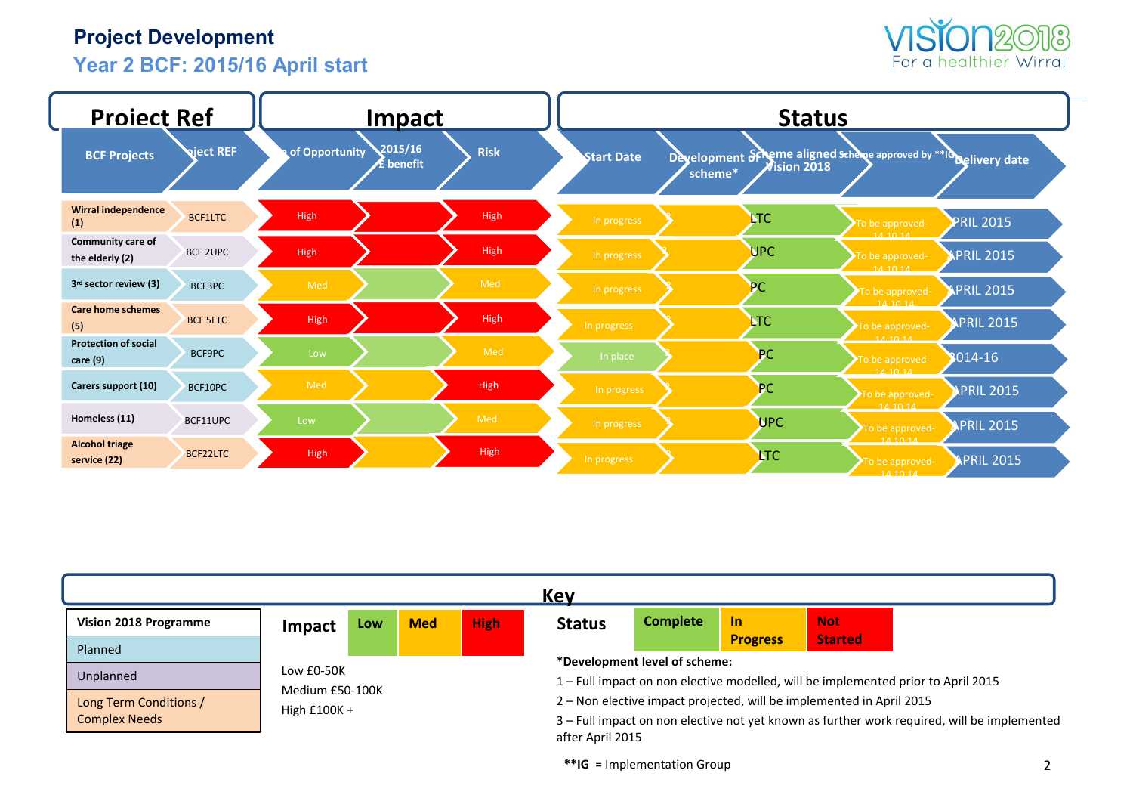## **Project Development**

# **Year 2 BCF: 2015/16 April start**



| <b>Project Ref</b>                          |                  |             | <b>Impact</b>                                 |             |                   |         | <b>Status</b>  |                                                                  |                   |
|---------------------------------------------|------------------|-------------|-----------------------------------------------|-------------|-------------------|---------|----------------|------------------------------------------------------------------|-------------------|
| <b>BCF Projects</b>                         | <b>Qject REF</b> |             | 2015/16<br>of Opportunity<br><b>£</b> benefit | <b>Risk</b> | <b>Start Date</b> | scheme* | $N$ ision 2018 | Development of heme aligned scheme approved by ** Idelivery date |                   |
| <b>Wirral independence</b><br>(1)           | BCF1LTC          | High        |                                               | High        | In progress       |         | <b>NTC</b>     | To be approved-                                                  | <b>PRIL 2015</b>  |
| <b>Community care of</b><br>the elderly (2) | <b>BCF 2UPC</b>  | High        |                                               | High        | In progress       |         | <b>UPC</b>     | 14, 10, 14<br>To be approved-<br>141014                          | <b>APRIL 2015</b> |
| 3rd sector review (3)                       | BCF3PC           | Med         |                                               | Med         | In progress       |         | PC             | To be approved-<br>141014                                        | <b>APRIL 2015</b> |
| <b>Care home schemes</b><br>(5)             | <b>BCF 5LTC</b>  | High        |                                               | High        | In progress       |         | <b>LTC</b>     | To be approved-                                                  | <b>APRIL 2015</b> |
| <b>Protection of social</b><br>care (9)     | BCF9PC           | Low         |                                               | Med         | In place          |         | <b>PC</b>      | 111011<br>To be approved-                                        | 2014-16           |
| Carers support (10)                         | BCF10PC          | Med         |                                               | High        | In progress       |         | PC             | 141014<br>To be approved-                                        | PRIL 2015         |
| Homeless (11)                               | BCF11UPC         | Low         |                                               | Med         | In progress       |         | <b>UPC</b>     | 14, 10, 14<br>To be approved-                                    | <b>APRIL 2015</b> |
| <b>Alcohol triage</b><br>service (22)       | <b>BCF22LTC</b>  | <b>High</b> |                                               | High        | In progress       |         | <b>LTC</b>     | 14, 10, 14<br>To be approved-<br>141014                          | <b>PRIL 2015</b>  |

| <b>Complete</b><br><b>Not</b><br>$\ln$<br><b>High</b><br><b>Med</b><br><b>Status</b><br>Vision 2018 Programme<br>Low<br>Impact<br><b>Started</b><br><b>Progress</b> |  |  | <b>Key</b>                                                                                                                                                          |  |  |  |
|---------------------------------------------------------------------------------------------------------------------------------------------------------------------|--|--|---------------------------------------------------------------------------------------------------------------------------------------------------------------------|--|--|--|
|                                                                                                                                                                     |  |  |                                                                                                                                                                     |  |  |  |
| Planned<br>*Development level of scheme:<br>Low £0-50K<br>Unplanned<br>1 – Full impact on non elective modelled, will be implemented prior to April 2015            |  |  |                                                                                                                                                                     |  |  |  |
| Medium £50-100K<br>Long Term Conditions /<br>High $£100K +$<br><b>Complex Needs</b>                                                                                 |  |  | 2 – Non elective impact projected, will be implemented in April 2015<br>3 - Full impact on non elective not yet known as further work required, will be implemented |  |  |  |

**\*\*IG** = Implementation Group